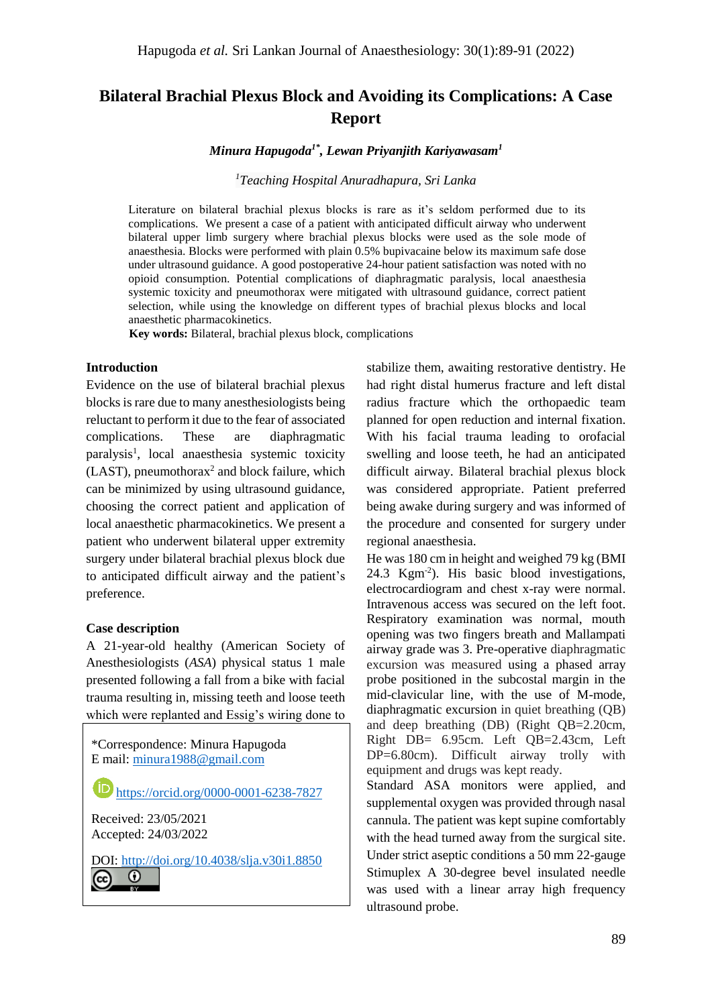# **Bilateral Brachial Plexus Block and Avoiding its Complications: A Case Report**

*Minura Hapugoda1\*, Lewan Priyanjith Kariyawasam<sup>1</sup>*

#### *<sup>1</sup>Teaching Hospital Anuradhapura, Sri Lanka*

Literature on bilateral brachial plexus blocks is rare as it's seldom performed due to its complications. We present a case of a patient with anticipated difficult airway who underwent bilateral upper limb surgery where brachial plexus blocks were used as the sole mode of anaesthesia. Blocks were performed with plain 0.5% bupivacaine below its maximum safe dose under ultrasound guidance. A good postoperative 24-hour patient satisfaction was noted with no opioid consumption. Potential complications of diaphragmatic paralysis, local anaesthesia systemic toxicity and pneumothorax were mitigated with ultrasound guidance, correct patient selection, while using the knowledge on different types of brachial plexus blocks and local anaesthetic pharmacokinetics.

**Key words:** Bilateral, brachial plexus block, complications

#### **Introduction**

Evidence on the use of bilateral brachial plexus blocks is rare due to many anesthesiologists being reluctant to perform it due to the fear of associated complications. These are diaphragmatic paralysis<sup>1</sup>, local anaesthesia systemic toxicity (LAST), pneumothorax<sup>2</sup> and block failure, which can be minimized by using ultrasound guidance, choosing the correct patient and application of local anaesthetic pharmacokinetics. We present a patient who underwent bilateral upper extremity surgery under bilateral brachial plexus block due to anticipated difficult airway and the patient's preference.

#### **Case description**

A 21-year-old healthy (American Society of Anesthesiologists (*ASA*) physical status 1 male presented following a fall from a bike with facial trauma resulting in, missing teeth and loose teeth which were replanted and Essig's wiring done to

\*Correspondence: Minura Hapugoda E mail: [minura1988@gmail.com](mailto:minura1988@gmail.com)

<https://orcid.org/0000-0001-6238-7827>

Received: 23/05/2021 Accepted: 24/03/2022

DOI:<http://doi.org/10.4038/slja.v30i1.8850> $\odot$ (cc)

stabilize them, awaiting restorative dentistry. He had right distal humerus fracture and left distal radius fracture which the orthopaedic team planned for open reduction and internal fixation. With his facial trauma leading to orofacial swelling and loose teeth, he had an anticipated difficult airway. Bilateral brachial plexus block was considered appropriate. Patient preferred being awake during surgery and was informed of the procedure and consented for surgery under regional anaesthesia.

He was 180 cm in height and weighed 79 kg (BMI 24.3 Kgm-2 ). His basic blood investigations, electrocardiogram and chest x-ray were normal. Intravenous access was secured on the left foot. Respiratory examination was normal, mouth opening was two fingers breath and Mallampati airway grade was 3. Pre-operative diaphragmatic excursion was measured using a phased array probe positioned in the subcostal margin in the mid-clavicular line, with the use of M-mode, diaphragmatic excursion in quiet breathing (QB) and deep breathing (DB) (Right QB=2.20cm, Right DB= 6.95cm. Left QB=2.43cm, Left DP=6.80cm). Difficult airway trolly with equipment and drugs was kept ready.

Standard ASA monitors were applied, and supplemental oxygen was provided through nasal cannula. The patient was kept supine comfortably with the head turned away from the surgical site. Under strict aseptic conditions a 50 mm 22-gauge Stimuplex A 30-degree bevel insulated needle was used with a linear array high frequency ultrasound probe.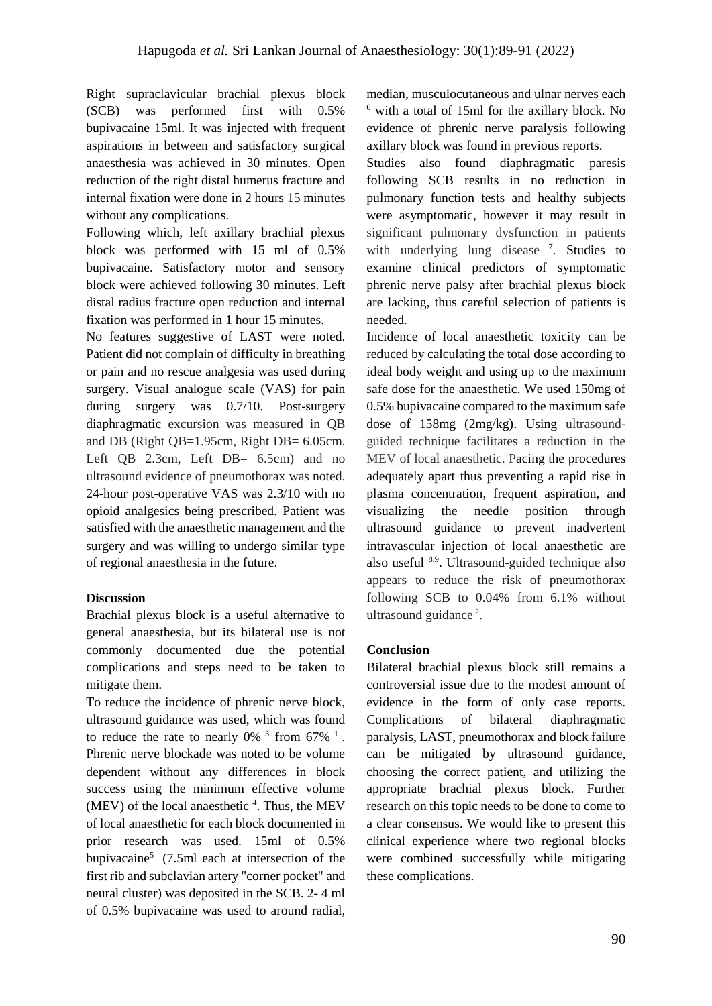Right supraclavicular brachial plexus block (SCB) was performed first with 0.5% bupivacaine 15ml. It was injected with frequent aspirations in between and satisfactory surgical anaesthesia was achieved in 30 minutes. Open reduction of the right distal humerus fracture and internal fixation were done in 2 hours 15 minutes without any complications.

Following which, left axillary brachial plexus block was performed with 15 ml of 0.5% bupivacaine. Satisfactory motor and sensory block were achieved following 30 minutes. Left distal radius fracture open reduction and internal fixation was performed in 1 hour 15 minutes.

No features suggestive of LAST were noted. Patient did not complain of difficulty in breathing or pain and no rescue analgesia was used during surgery. Visual analogue scale (VAS) for pain during surgery was 0.7/10. Post-surgery diaphragmatic excursion was measured in QB and DB (Right QB=1.95cm, Right DB= 6.05cm. Left QB 2.3cm, Left DB= 6.5cm) and no ultrasound evidence of pneumothorax was noted. 24-hour post-operative VAS was 2.3/10 with no opioid analgesics being prescribed. Patient was satisfied with the anaesthetic management and the surgery and was willing to undergo similar type of regional anaesthesia in the future.

## **Discussion**

Brachial plexus block is a useful alternative to general anaesthesia, but its bilateral use is not commonly documented due the potential complications and steps need to be taken to mitigate them.

To reduce the incidence of phrenic nerve block, ultrasound guidance was used, which was found to reduce the rate to nearly 0%  $3$  from 67%  $1$ . Phrenic nerve blockade was noted to be volume dependent without any differences in block success using the minimum effective volume (MEV) of the local anaesthetic  $4$ . Thus, the MEV of local anaesthetic for each block documented in prior research was used. 15ml of 0.5% bupivacaine<sup>5</sup> (7.5ml each at intersection of the first rib and subclavian artery "corner pocket" and neural cluster) was deposited in the SCB. 2- 4 ml of 0.5% bupivacaine was used to around radial,

median, musculocutaneous and ulnar nerves each <sup>6</sup> with a total of 15ml for the axillary block. No evidence of phrenic nerve paralysis following axillary block was found in previous reports.

Studies also found diaphragmatic paresis following SCB results in no reduction in pulmonary function tests and healthy subjects were asymptomatic, however it may result in significant pulmonary dysfunction in patients with underlying lung disease <sup>7</sup>. Studies to examine clinical predictors of symptomatic phrenic nerve palsy after brachial plexus block are lacking, thus careful selection of patients is needed.

Incidence of local anaesthetic toxicity can be reduced by calculating the total dose according to ideal body weight and using up to the maximum safe dose for the anaesthetic. We used 150mg of 0.5% bupivacaine compared to the maximum safe dose of 158mg (2mg/kg). Using ultrasoundguided technique facilitates a reduction in the MEV of local anaesthetic. Pacing the procedures adequately apart thus preventing a rapid rise in plasma concentration, frequent aspiration, and visualizing the needle position through ultrasound guidance to prevent inadvertent intravascular injection of local anaesthetic are also useful <sup>8,9</sup>. Ultrasound-guided technique also appears to reduce the risk of pneumothorax following SCB to 0.04% from 6.1% without ultrasound guidance<sup>2</sup>.

## **Conclusion**

Bilateral brachial plexus block still remains a controversial issue due to the modest amount of evidence in the form of only case reports. Complications of bilateral diaphragmatic paralysis, LAST, pneumothorax and block failure can be mitigated by ultrasound guidance, choosing the correct patient, and utilizing the appropriate brachial plexus block. Further research on this topic needs to be done to come to a clear consensus. We would like to present this clinical experience where two regional blocks were combined successfully while mitigating these complications.